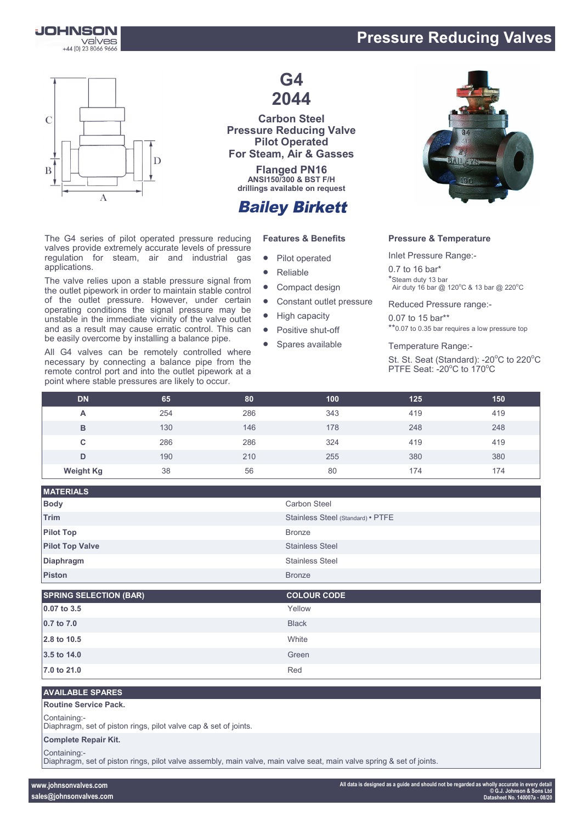

## **Pressure Reducing Valves**



The G4 series of pilot operated pressure reducing valves provide extremely accurate levels of pressure regulation for steam, air and industrial gas applications.

The valve relies upon a stable pressure signal from the outlet pipework in order to maintain stable control of the outlet pressure. However, under certain operating conditions the signal pressure may be unstable in the immediate vicinity of the valve outlet and as a result may cause erratic control. This can be easily overcome by installing a balance pipe.

All G4 valves can be remotely controlled where necessary by connecting a balance pipe from the remote control port and into the outlet pipework at a point where stable pressures are likely to occur.

## **G4 2044**

**Carbon Steel Pressure Reducing Valve Pilot Operated For Steam, Air & Gasses**

**Flanged PN16 ANSI150/300 & BST F/H drillings available on request**

## **Bailey Birkett**

#### **Features & Benefits**

- Pilot operated
- Reliable
- Compact design
- Constant outlet pressure
- High capacity
- Positive shut-off
- Spares available



#### **Pressure & Temperature**

Inlet Pressure Range:-

0.7 to 16 bar\* \*Steam duty 13 bar Air duty 16 bar  $@$  120 $^{\circ}$ C & 13 bar  $@$  220 $^{\circ}$ C

Reduced Pressure range:-

0.07 to 15 bar\*\* \*\*0.07 to 0.35 bar requires a low pressure top

Temperature Range:-

St. St. Seat (Standard): -20°C to 220°C PTFE Seat: - 20°C to 170°C

| <b>DN</b>        | 65  | 80  | 100 | 125 | 150 |
|------------------|-----|-----|-----|-----|-----|
| A                | 254 | 286 | 343 | 419 | 419 |
| B                | 130 | 146 | 178 | 248 | 248 |
| C                | 286 | 286 | 324 | 419 | 419 |
| D                | 190 | 210 | 255 | 380 | 380 |
| <b>Weight Kg</b> | 38  | 56  | 80  | 174 | 174 |

| <b>Carbon Steel</b>               |
|-----------------------------------|
|                                   |
| Stainless Steel (Standard) • PTFE |
|                                   |
| <b>Stainless Steel</b>            |
| <b>Stainless Steel</b>            |
|                                   |
|                                   |

| <b>SPRING SELECTION (BAR)</b> | <b>COLOUR CODE</b> |
|-------------------------------|--------------------|
| 0.07 to 3.5                   | Yellow             |
| 0.7 to 7.0                    | <b>Black</b>       |
| 2.8 to 10.5                   | White              |
| 3.5 to 14.0                   | Green              |
| 7.0 to 21.0                   | Red                |

#### **AVAILABLE SPARES**

#### **Routine Service Pack.**

Containing:-

Diaphragm, set of piston rings, pilot valve cap & set of joints.

#### **Complete Repair Kit.**

Containing:-

Diaphragm, set of piston rings, pilot valve assembly, main valve, main valve seat, main valve spring & set of joints.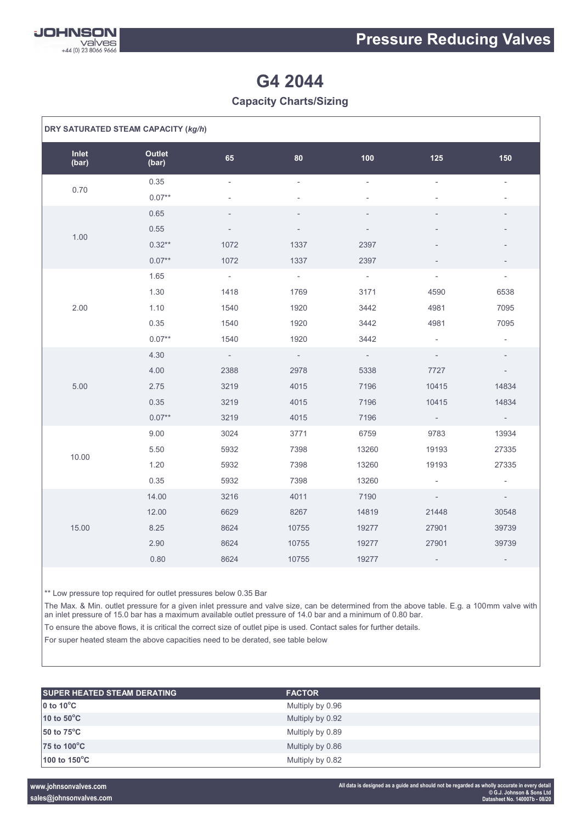

# **G4 2044**

### **Capacity Charts/Sizing**

| DRY SATURATED STEAM CAPACITY (kg/h) |                 |        |                          |                          |                          |                          |
|-------------------------------------|-----------------|--------|--------------------------|--------------------------|--------------------------|--------------------------|
| Inlet<br>(bar)                      | Outlet<br>(bar) | 65     | 80                       | 100                      | 125                      | 150                      |
| 0.70                                | 0.35            | ÷,     | $\overline{\phantom{a}}$ | $\overline{\phantom{0}}$ | $\overline{\phantom{a}}$ |                          |
|                                     | $0.07**$        |        |                          |                          |                          |                          |
|                                     | 0.65            |        | $\overline{\phantom{a}}$ | $\overline{a}$           |                          | $\overline{a}$           |
| 1.00                                | 0.55            |        |                          |                          |                          |                          |
|                                     | $0.32**$        | 1072   | 1337                     | 2397                     |                          |                          |
|                                     | $0.07**$        | 1072   | 1337                     | 2397                     |                          |                          |
|                                     | 1.65            | $\sim$ | $\sim$                   | $\sim$                   | $\overline{\phantom{a}}$ | $\sim$                   |
|                                     | 1.30            | 1418   | 1769                     | 3171                     | 4590                     | 6538                     |
| 2.00                                | 1.10            | 1540   | 1920                     | 3442                     | 4981                     | 7095                     |
|                                     | 0.35            | 1540   | 1920                     | 3442                     | 4981                     | 7095                     |
|                                     | $0.07**$        | 1540   | 1920                     | 3442                     | $\overline{\phantom{a}}$ | $\overline{\phantom{a}}$ |
|                                     | 4.30            | $\sim$ | $\sim$                   | $\sim$                   | $\overline{\phantom{a}}$ | $\overline{\phantom{a}}$ |
|                                     | 4.00            | 2388   | 2978                     | 5338                     | 7727                     | $\sim$                   |
| 5.00                                | 2.75            | 3219   | 4015                     | 7196                     | 10415                    | 14834                    |
|                                     | 0.35            | 3219   | 4015                     | 7196                     | 10415                    | 14834                    |
|                                     | $0.07**$        | 3219   | 4015                     | 7196                     | $\sim$                   | $\omega_{\rm c}$         |
|                                     | 9.00            | 3024   | 3771                     | 6759                     | 9783                     | 13934                    |
| 10.00                               | 5.50            | 5932   | 7398                     | 13260                    | 19193                    | 27335                    |
|                                     | 1.20            | 5932   | 7398                     | 13260                    | 19193                    | 27335                    |
|                                     | 0.35            | 5932   | 7398                     | 13260                    | $\overline{\phantom{a}}$ | $\sim$                   |
|                                     | 14.00           | 3216   | 4011                     | 7190                     | $\overline{\phantom{a}}$ | $\sim$                   |
|                                     | 12.00           | 6629   | 8267                     | 14819                    | 21448                    | 30548                    |
| 15.00                               | 8.25            | 8624   | 10755                    | 19277                    | 27901                    | 39739                    |
|                                     | 2.90            | 8624   | 10755                    | 19277                    | 27901                    | 39739                    |
|                                     | 0.80            | 8624   | 10755                    | 19277                    | $\overline{\phantom{a}}$ | $\overline{\phantom{a}}$ |

\*\* Low pressure top required for outlet pressures below 0.35 Bar

The Max. & Min. outlet pressure for a given inlet pressure and valve size, can be determined from the above table. E.g. a 100mm valve with an inlet pressure of 15.0 bar has a maximum available outlet pressure of 14.0 bar and a minimum of 0.80 bar.

To ensure the above flows, it is critical the correct size of outlet pipe is used. Contact sales for further details.

For super heated steam the above capacities need to be derated, see table below

| <b>SUPER HEATED STEAM DERATING</b> | <b>FACTOR</b>    |  |
|------------------------------------|------------------|--|
| 0 to $10^{\circ}$ C                | Multiply by 0.96 |  |
| 10 to $50^{\circ}$ C               | Multiply by 0.92 |  |
| 50 to $75^{\circ}$ C               | Multiply by 0.89 |  |
| 75 to 100°C                        | Multiply by 0.86 |  |
| 100 to $150^{\circ}$ C             | Multiply by 0.82 |  |